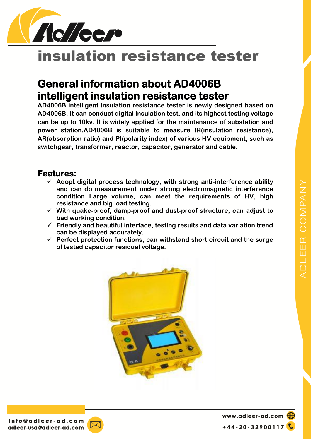



# insulation resistance tester

## **General information about AD4006B intelligent insulation resistance tester**

**AD4006B intelligent insulation resistance tester is newly designed based on AD4006B. It can conduct digital insulation test, and its highest testing voltage can be up to 10kv. It is widely applied for the maintenance of substation and power station.AD4006B is suitable to measure IR(insulation resistance), AR(absorption ratio) and PI(polarity index) of various HV equipment, such as switchgear, transformer, reactor, capacitor, generator and cable.**

#### **Features:**

- **Adopt digital process technology, with strong anti-interference ability and can do measurement under strong electromagnetic interference condition Large volume, can meet the requirements of HV, high resistance and big load testing.**
- **With quake-proof, damp-proof and dust-proof structure, can adjust to bad working condition.**
- **Friendly and beautiful interface, testing results and data variation trend can be displayed accurately.**
- **Perfect protection functions, can withstand short circuit and the surge of tested capacitor residual voltage.**





www.adleer-ad.com  $+44 - 20 - 32900117$